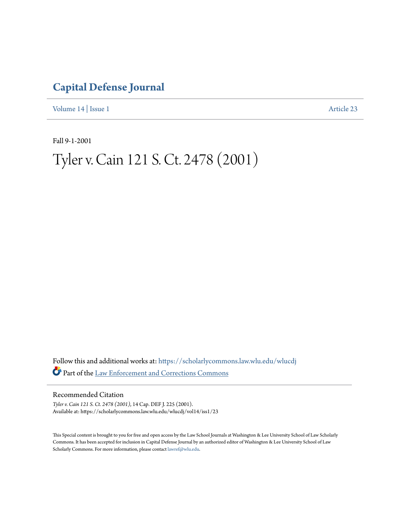### **[Capital Defense Journal](https://scholarlycommons.law.wlu.edu/wlucdj?utm_source=scholarlycommons.law.wlu.edu%2Fwlucdj%2Fvol14%2Fiss1%2F23&utm_medium=PDF&utm_campaign=PDFCoverPages)**

[Volume 14](https://scholarlycommons.law.wlu.edu/wlucdj/vol14?utm_source=scholarlycommons.law.wlu.edu%2Fwlucdj%2Fvol14%2Fiss1%2F23&utm_medium=PDF&utm_campaign=PDFCoverPages) | [Issue 1](https://scholarlycommons.law.wlu.edu/wlucdj/vol14/iss1?utm_source=scholarlycommons.law.wlu.edu%2Fwlucdj%2Fvol14%2Fiss1%2F23&utm_medium=PDF&utm_campaign=PDFCoverPages) [Article 23](https://scholarlycommons.law.wlu.edu/wlucdj/vol14/iss1/23?utm_source=scholarlycommons.law.wlu.edu%2Fwlucdj%2Fvol14%2Fiss1%2F23&utm_medium=PDF&utm_campaign=PDFCoverPages)

Fall 9-1-2001

## Tyler v. Cain 121 S. Ct. 2478 (2001)

Follow this and additional works at: [https://scholarlycommons.law.wlu.edu/wlucdj](https://scholarlycommons.law.wlu.edu/wlucdj?utm_source=scholarlycommons.law.wlu.edu%2Fwlucdj%2Fvol14%2Fiss1%2F23&utm_medium=PDF&utm_campaign=PDFCoverPages) Part of the [Law Enforcement and Corrections Commons](http://network.bepress.com/hgg/discipline/854?utm_source=scholarlycommons.law.wlu.edu%2Fwlucdj%2Fvol14%2Fiss1%2F23&utm_medium=PDF&utm_campaign=PDFCoverPages)

Recommended Citation

*Tyler v. Cain 121 S. Ct. 2478 (2001)*, 14 Cap. DEF J. 225 (2001). Available at: https://scholarlycommons.law.wlu.edu/wlucdj/vol14/iss1/23

This Special content is brought to you for free and open access by the Law School Journals at Washington & Lee University School of Law Scholarly Commons. It has been accepted for inclusion in Capital Defense Journal by an authorized editor of Washington & Lee University School of Law Scholarly Commons. For more information, please contact [lawref@wlu.edu.](mailto:lawref@wlu.edu)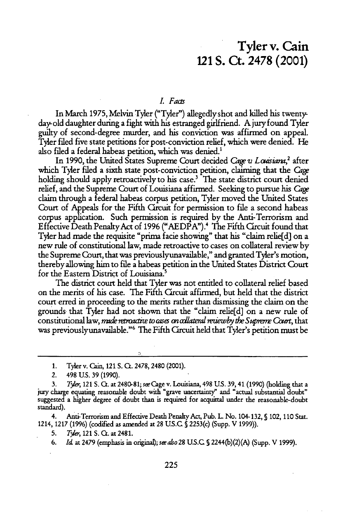### Tyler v. Cain 121 **S. Ct. 2478** (2001)

#### *L Facts*

In March **1975, Melvin** Tyler ("Tyler") allegedlyshot and killed his twenty, day old daughter during a fight with his estranged girlfriend. A jury found Tyler guilty of second-degree murder, and his conviction was affirmed on appeal. Tyler filed five state petitions for post-conviction relief, which were denied. **He** also filed a federal habeas petition, which was denied.'

In **1990,** the United States Supreme Court decided *Cage v Loussiana,2* after which Tyler filed a sixth state post-conviction petition, claiming that the Cage holding should apply retroactively to his case.<sup>3</sup> The state district court denied relief, and the Supreme Court of Louisiana affirmed. Seeking to pursue his Cage claim through a federal habeas corpus petition, Tyler moved the United States Court of Appeals for the Fifth **Crcuit** for permission to file a second habeas corpus application. Such permission is required by the Anti-Terrorism and Effective Death PenaltyAct of **1996 ("AEDPA").4** The Fifth Circuit found that Tyler had made the requisite "prima facie showing" that his "claim relie[d] on a new rule of constitutional law, made retroactive to cases on collateral review by the Supreme Court, that was previouslyunavailable," and granted Tyler's motion, thereby allowing him to file a habeas petition in the United States District Court for the Eastern District of Louisiana.'

The district court held that Tyler was not entitled to collateral relief based on the merits of his case. The Fifth Circuit affirmed, but held that the district court erred in proceeding to the merits rather than dismissing the claim on the grounds that Tyler had not shown that the "claim relie[d] on a new rule of constitutional law, *made retroactive to cases on collateral reviewby the Supreme Court*, that was previously unavailable."<sup>6</sup> The Fifth Circuit held that Tyler's petition must be

- 1. Tyler v. Cain, 121 S. **Ct.** 2478, 2480 (2001).
- *2.* 498 **U.S. 39 (1990).**

4. Anti-Terrorism and Effective Death Penalty Act, Pub. L No. 104-132, **S** 102, 110 Stat. 1214, 1217 (1996) (codified as amended at 28 U.S.C **S** 2253(c) (Supp. V **1999)).**

**5.** *Trer,* 121 S. Ct. at 2481.

**6.** *Id* at 2479 (emphasis in original); *s-also28* **U.S.C S** 2244(b)(2)(A) (Supp. V **1999).**

**<sup>3.</sup>** *T2I,* 121 **S. Ct.** at **2480-81;** swCage v. Louisiana, 498 **U.S. 39,** 41 **(1990)** (holding that a jury charge equating reasonable doubt with "grave uncertainty" and "actual substantial doubt" suggested a higher degree of doubt than is required for acquittal under the reasonable-doubt standard).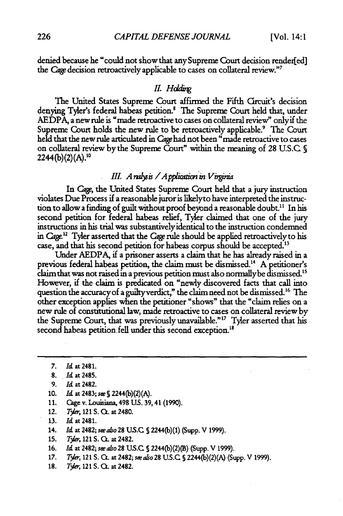denied because he "could not show that anySupreme Court decision render[ed] the Cage decision retroactively applicable to cases on collateral review."7

#### *II. Hdding*

The United States Supreme Court affirmed the Fifth Circuit's decision denying Tyler's federal habeas petition.<sup>8</sup> The Supreme Court held that, under AEDPA, a new rule is "made retroactive to cases on collateral review" onlyif the Supreme Court holds the new rule to be retroactively applicable.<sup>9</sup> The Court held that the new rule articulated in Cage had not been "made retroactive to cases on collateral review by the Supreme Court" within the meaning of 28 U.S.C.  $\S$ 2244(b)(2)(A).<sup>10</sup>

#### III. Analysis / Application in Virginia

In *Cag,* the United States Supreme Court held that a jury instruction violates Due Process if a reasonable juror is likelyto have interpreted the instruction to allow a finding of guilt without proof beyond a reasonable doubt.<sup>11</sup> In his second petition for federal habeas relief, Tyler claimed that one of the jury instructions in his trial was substantively identical to the instruction condemned in Cage.12 Tyler asserted that the **age** rule should be applied retroactively to his case, and that his second petition for habeas corpus should be accepted."

Under AEDPA, if a prisoner asserts a claim that he has already raised in a previous federal habeas petition, the claim must be dismissed." A petitioner's claim that was not raised in a previous petition must also normallybe dismissed." However, if the claim is predicated on "newly discovered facts that call into question the accuracy of a guilty verdict," the claim need not be dismissed.<sup>16</sup> The other exception applies when the petitioner "shows" that the "claim relies on a new rule of constitutional law, made retroactive to cases on collateral review by the Supreme Court, that was previously unavailable."<sup>17</sup> Tyler asserted that his second habeas petition fell under this second exception.<sup>18</sup>

- 10. Id at 2483; *se* **S** 2244(b)(2)(A).
- 11. Cage v. Louisiana, 498 **US.** 39,41 (1990).
- 12. *T\*der,* 121 **S. QL** at 2480.
- **13. Id** at 2481.
- 14. Id at 2482; *seealo28* **US.C S** 2244(b)(1) (Supp. V 1999).
- **15.** *T\*ie,* 121 S. **QL** at 2482.
- 16. Id at 2482; *sealso* 28 **US.C S** 2244(b)(2)(B) (Supp. V 1999).
- 17. **Tyler**, 121 S. Ct. at 2482; *see also* 28 U.S.C. § 2244(b)(2)(A) (Supp. V 1999).
- **18.** *Tyler*, 121 S. Q. at 2482.

**<sup>7.</sup>** Id at 2481.

**<sup>8.</sup> Id at** 2485.

**<sup>9.</sup>** Id at 2482.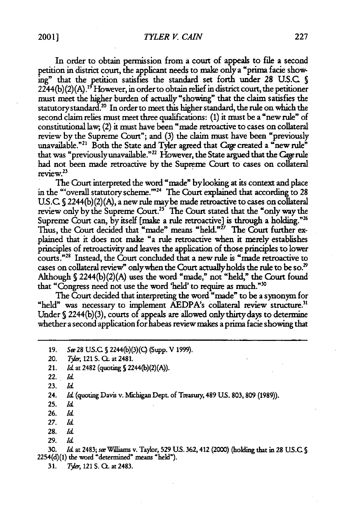2001]

In order to obtain permission from a court of appeals to file a second petition in district court, the applicant needs to make only a "prima facie showing" that the petition satisfies the standard set forth under 28 U.S.C S  $2244(b)(2)(A).$ <sup>19</sup> However, in order to obtain relief in district court, the petitioner must meet the higher burden of actually "showing" that the claim satisfies the statutory standard.<sup>20</sup> In order to meet this higher standard, the rule on which the second claim relies must meet three qualifications: (1) it must be a "new rule" of constitutional law;, (2) it must have been "made retroactive to cases on collateral review by the Supreme Court"; and (3) the claim must have been "previously unavailable."<sup>21</sup> Both the State and Tyler agreed that *Cage* created a "new rule" that was "previouslyunavailable."22 However, the State argued that the *Gage* rule had not been made retroactive by the Supreme Court to cases on collateral  $r = r \cdot x^{23}$ 

The Court interpreted the word "made" bylooking at its context and place in the "'overall statutory scheme."<sup>24</sup> The Court explained that according to 28 U.S.C **S** 2244(b) (2) (A), a new rule maybe made retroactive to cases on collateral review only by the Supreme Court.<sup>25</sup> The Court stated that the "only way the Supreme Court can, by itself [make a rule retroactive] is through a holding."<sup>26</sup> Thus, the Court decided that "made" means "held."<sup>27</sup> The Court further explained that it does not make "a rule retroactive when it merely establishes principles of retroactivity and leaves the application of those principles to lower courts."<sup>28</sup> Instead, the Court concluded that a new rule is "made retroactive to cases on collateral review" only when the Court actually holds the rule to be so.<sup>29</sup> Although **S** 2244(b)(2)(A) uses the word "made," not "held," the Court found that "Congress need not use the word 'held' to require as much."<sup>30</sup>

The Court decided that interpreting the word "made" to be a synonym for "held" was necessary to implement AEDPA's collateral review structure.<sup>31</sup> Under **S** 2244(b)(3), courts of appeals are allowed only thirty days to determine whether a second application for habeas review makes a prima facie showing that

19. *See* 28 U.S.C. § 2244(b)(3)(C) (Supp. V 1999).

- 22. *Id*
- 23. *Id*

24. *Id* (quoting Davis v. Michigan Dept. of Treasury, 489 US. 803, 809 (1989)).

- 25. *Id*
- 26. *Id*
- **27.** *Id*
- **28.** *Id*
- 29. *Id*

**30.** *Id* at 2483; *seWiliams* v. Taylor, **529 US.** 362,412 (2000) (holding that in 28 US.C S 2254(d)(1) the **word** "determined" means "held").

**31.** *T\*Ir,* 121 S. **CL** at 2483.

<sup>20.</sup> *T&-,* 121 **S. Ct.** at **2481.**

<sup>21.</sup> *Id.* at 2482 (quoting § 2244(b)(2)(A)).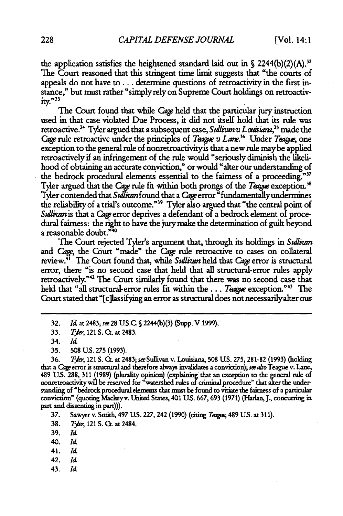the application satisfies the heightened standard laid out in  $\int$  2244(b)(2)(A).<sup>32</sup> The Court reasoned that this stringent time limit suggests that "the courts of appeals do not have to **...** determine questions of retroactivity in the first instance," but must rather "simply rely on Supreme Court holdings on retroactiv**ity."33**

The Court found that while Cage held that the particular jury instruction used in that case violated Due Process, it did not itself hold that its rule was retroactive. 4 Tyler argued that a subsequent case, *Su//iumv Lcuisiam,3'* made the Cage rule retroactive under the principles of *Teague v Lane*.<sup>36</sup> Under *Teague*, one exception to the general rule of nonretroactivityis that a new rule maybe applied retroactively if an infringement of the rule would "seriously diminish the likelihood of obtaining an accurate conviction," or would "alter our understanding of the bedrock procedural elements essential to the fairness of a proceeding."37 Tyler argued that the Cage rule fit within both prongs of the Tangue exception.<sup>38</sup> Tyler contended that *Su/itm* found that a Cage error "fundamentallyundermines the reliability of a trial's outcome."<sup>39</sup> Tyler also argued that "the central point of Sullivan is that a Cage error deprives a defendant of a bedrock element of procedural fairness: the right to have the jury make the determination of guilt beyond a reasonable doubt."40

The Court rejected Tyler's argument that, through its holdings in *Sullium* and *Cage*, the Court "made" the Cage rule retroactive to cases on collateral review.41 The Court found that, while *Sufliun* held that Cage error is structural error, there "is no second case that held that all structural-error rules apply retroactively."42 The Court similarly found that there was no second case that held that "all structural-error rules fit within the... *Teague* exception."43 The Court stated that "[c]liassifying an error as structural does not necessarilyalter our

36. *TAr,* 121 **S.** Ct. at 2483; seSullivan v. **Louisiana, 508 US. 275,** 281-82 **(1993)** (holding that a *Cage* error is structural and therefore always invalidates a conviction); see also Teague v. Lane, 489 **US.** 288, **311** (1989) (plurality opinion) (explaining that an exception to the general **rule of** nonretroactivitywill be reserved for 'watershed rules of criminal procedure" that alter the understanding of "bedrock procedural elements that must be found to vitiate the fairness of a **particular** conviction" (quoting Mackeyv. United States, 401 **US. 667, 693** (1971) (Harla, **J.,** concurring **in** part and dissenting in part))).

**37.** Sawyer v. Smith, 497 **US. 227,** 242 **(1990)** (citing *Taewl* 489 **US.** at **311).**

**38.** *Tyler*, 121 S. **C**. at 2484.

**39.** *Id*

**40.** *Id*

- 41. *Id*
- 42. *Id*
- 43. *Id*

**<sup>32.</sup>** *Id* at 2483; *si* **28 US.C S** 2244(b)(3) (Supp. V **1999).**

**<sup>33.</sup>** *T\*e,* <sup>121</sup>**S. Cc.** at 2483.

<sup>34.</sup> *Id*

**<sup>35. 508</sup> US. 275** (1993).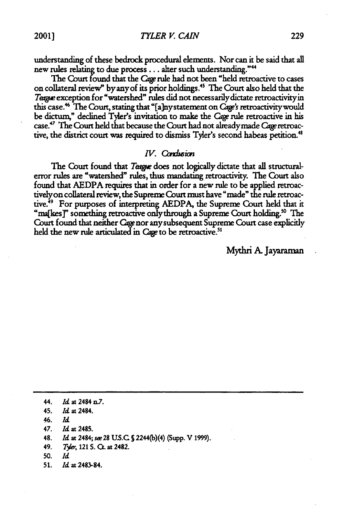*TYLER V. CAIN*

understanding of these bedrock procedural elements. Nor can it be said that all new **rules** relating to due process **...** alter such understanding.""

The Court found that the *Cage* rule had not been "held retroactive to cases on collateral review" by any of its prior holdings."' The Court also held that the Teague exception for "watershed" rules did not necessarily dictate retroactivity in this case.<sup>46</sup> The Court, stating that "[a]ny statement on Cage's retroactivity would be dictum," declined Tyler's invitation to make the *Cage* rule retroactive in his case.47 The Court held that because the Court had not alreadymade Cage retroactive, the district court **was** required to dismiss **Tyler's** second habeas petition.48

#### *IV.* Condusion

The Court found that *Targe* does not logically dictate that all structuralerror rules are "watershed" rules, thus mandating retroactivity. The Court also found that **AEDPA** requires that in order for a new rule to be applied retroactivelyon collateral review, the Supreme Court must have "made" the rule retroactive.<sup>49</sup> For purposes of interpreting AEDPA, the Supreme Court held that it "ma[kes]" something retroactive only through a Supreme Court holding.<sup>50</sup> The Court found that neither *Cage* nor any subsequent Supreme Court case explicitly held the new rule articulated in *Cage* to be retroactive.<sup>51</sup>

Mythri **A.** Jayaraman

- **46.** *Id*
- **47.** *Id* at **2485.**
- **48.** *Id* at 2484; *se* 28 **US.C** S 2244(b)(4) (Supp. V **1999).**
- **49.** *Tyler*, 121 S. Ct. at 2482.
- **50.** *Id*
- **51.** *Id* **at 2483-84.**

**<sup>44.</sup>** *Id* at 2484 n.7.

**<sup>45.</sup>** *Id* **at 2484.**